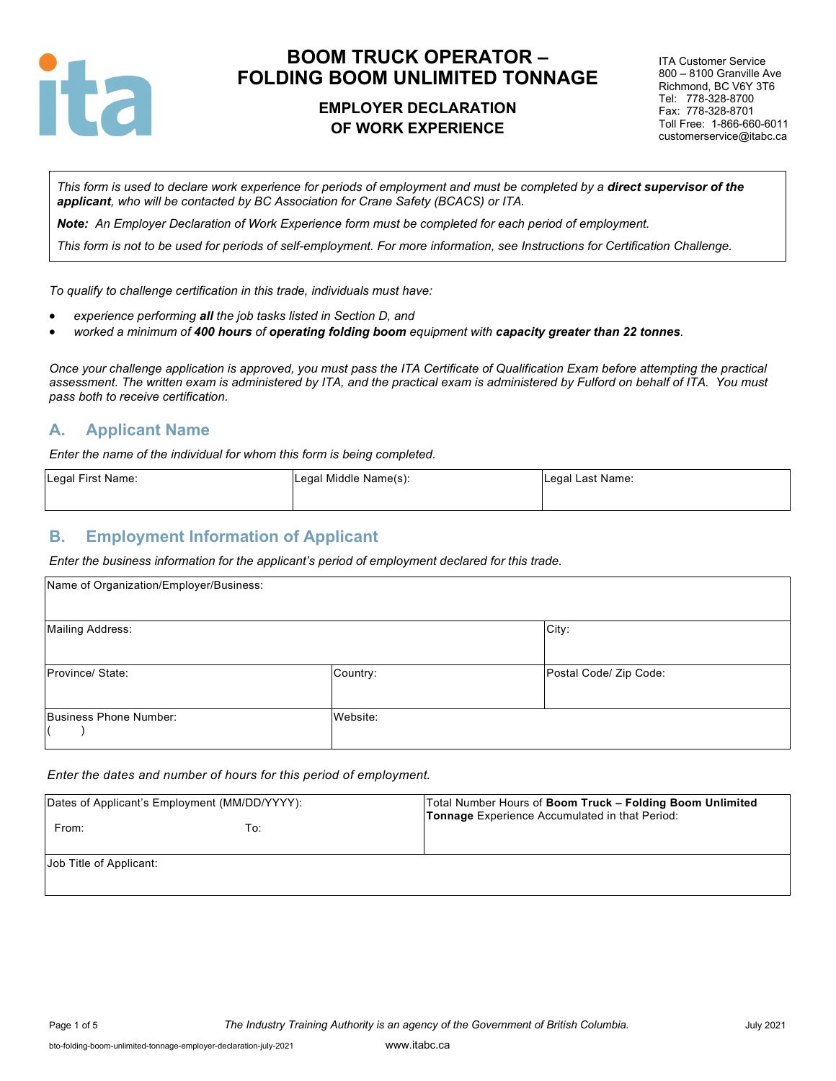

### **EMPLOYER DECLARATION OF WORK EXPERIENCE**

ITA Customer Service 800 – 8100 Granville Ave Richmond, BC V6Y 3T6 Tel: 778-328-8700 Fax: 778-328-8701 Toll Free: 1-866-660-6011 customerservice@itabc.ca

*This form is used to declare work experience for periods of employment and must be completed by a direct supervisor of the applicant, who will be contacted by BC Association for Crane Safety (BCACS) or ITA.*

*Note: An Employer Declaration of Work Experience form must be completed for each period of employment.*

*This form is not to be used for periods of self-employment. For more information, see Instructions for Certification Challenge.*

*To qualify to challenge certification in this trade, individuals must have:*

- *experience performing all the job tasks listed in Section D, and*
- *worked a minimum of 400 hours of operating folding boom equipment with capacity greater than 22 tonnes.*

*Once your challenge application is approved, you must pass the ITA Certificate of Qualification Exam before attempting the practical assessment. The written exam is administered by ITA, and the practical exam is administered by Fulford on behalf of ITA. You must pass both to receive certification.*

#### **A. Applicant Name**

*Enter the name of the individual for whom this form is being completed.*

| Legal First Name: | Legal Middle Name(s): | Legal Last Name: |
|-------------------|-----------------------|------------------|
|                   |                       |                  |

#### **B. Employment Information of Applicant**

*Enter the business information for the applicant's period of employment declared for this trade.*

| Name of Organization/Employer/Business: |          |                        |
|-----------------------------------------|----------|------------------------|
| <b>Mailing Address:</b>                 |          | City:                  |
| Province/ State:                        | Country: | Postal Code/ Zip Code: |
| Business Phone Number:                  | Website: |                        |

#### *Enter the dates and number of hours for this period of employment.*

| Dates of Applicant's Employment (MM/DD/YYYY): |     | Total Number Hours of Boom Truck - Folding Boom Unlimited<br>Tonnage Experience Accumulated in that Period: |  |
|-----------------------------------------------|-----|-------------------------------------------------------------------------------------------------------------|--|
| From:                                         | To: |                                                                                                             |  |
| Job Title of Applicant:                       |     |                                                                                                             |  |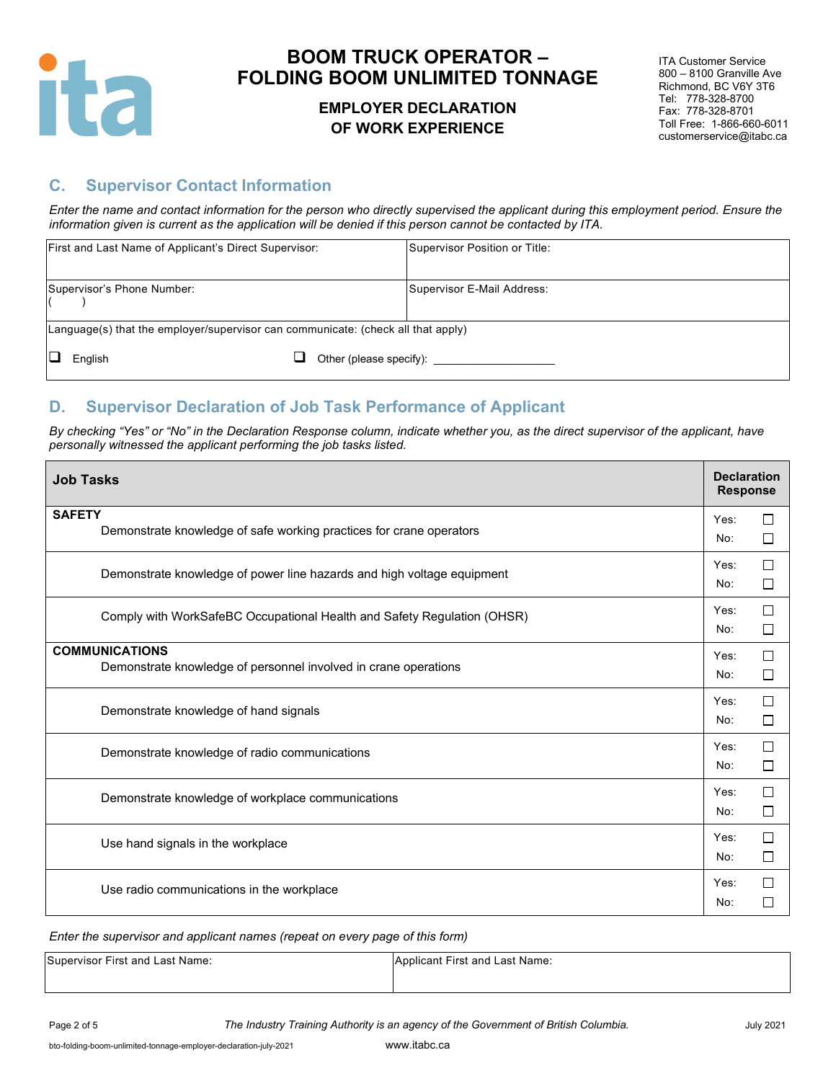

### **EMPLOYER DECLARATION OF WORK EXPERIENCE**

ITA Customer Service 800 – 8100 Granville Ave Richmond, BC V6Y 3T6 Tel: 778-328-8700 Fax: 778-328-8701 Toll Free: 1-866-660-6011 customerservice@itabc.ca

# **C. Supervisor Contact Information**

*Enter the name and contact information for the person who directly supervised the applicant during this employment period. Ensure the information given is current as the application will be denied if this person cannot be contacted by ITA.*

|     | First and Last Name of Applicant's Direct Supervisor:                            |                         | Supervisor Position or Title: |
|-----|----------------------------------------------------------------------------------|-------------------------|-------------------------------|
|     | Supervisor's Phone Number:                                                       |                         | Supervisor E-Mail Address:    |
|     | Language(s) that the employer/supervisor can communicate: (check all that apply) |                         |                               |
| IО. | English                                                                          | Other (please specify): |                               |

#### **D. Supervisor Declaration of Job Task Performance of Applicant**

By checking "Yes" or "No" in the Declaration Response column, indicate whether you, as the direct supervisor of the applicant, have *personally witnessed the applicant performing the job tasks listed.* 

| <b>Job Tasks</b>                                                                         | <b>Declaration</b><br><b>Response</b> |                  |
|------------------------------------------------------------------------------------------|---------------------------------------|------------------|
| <b>SAFETY</b><br>Demonstrate knowledge of safe working practices for crane operators     | Yes:<br>No:                           | П<br>□           |
| Demonstrate knowledge of power line hazards and high voltage equipment                   | Yes:<br>No:                           | П<br>□           |
| Comply with WorkSafeBC Occupational Health and Safety Regulation (OHSR)                  | Yes:<br>No:                           | П<br>П           |
| <b>COMMUNICATIONS</b><br>Demonstrate knowledge of personnel involved in crane operations | Yes:<br>No:                           | $\Box$<br>□      |
| Demonstrate knowledge of hand signals                                                    | Yes:<br>No:                           | П<br>$\Box$      |
| Demonstrate knowledge of radio communications                                            | Yes:<br>No:                           | П<br>$\Box$      |
| Demonstrate knowledge of workplace communications                                        | Yes:<br>No:                           | $\Box$<br>$\Box$ |
| Use hand signals in the workplace                                                        | Yes:<br>No:                           | П<br>□           |
| Use radio communications in the workplace                                                | Yes:<br>No:                           | П<br>□           |

*Enter the supervisor and applicant names (repeat on every page of this form)*

| Supervisor First and Last Name: | Applicant First and Last Name: |
|---------------------------------|--------------------------------|
|                                 |                                |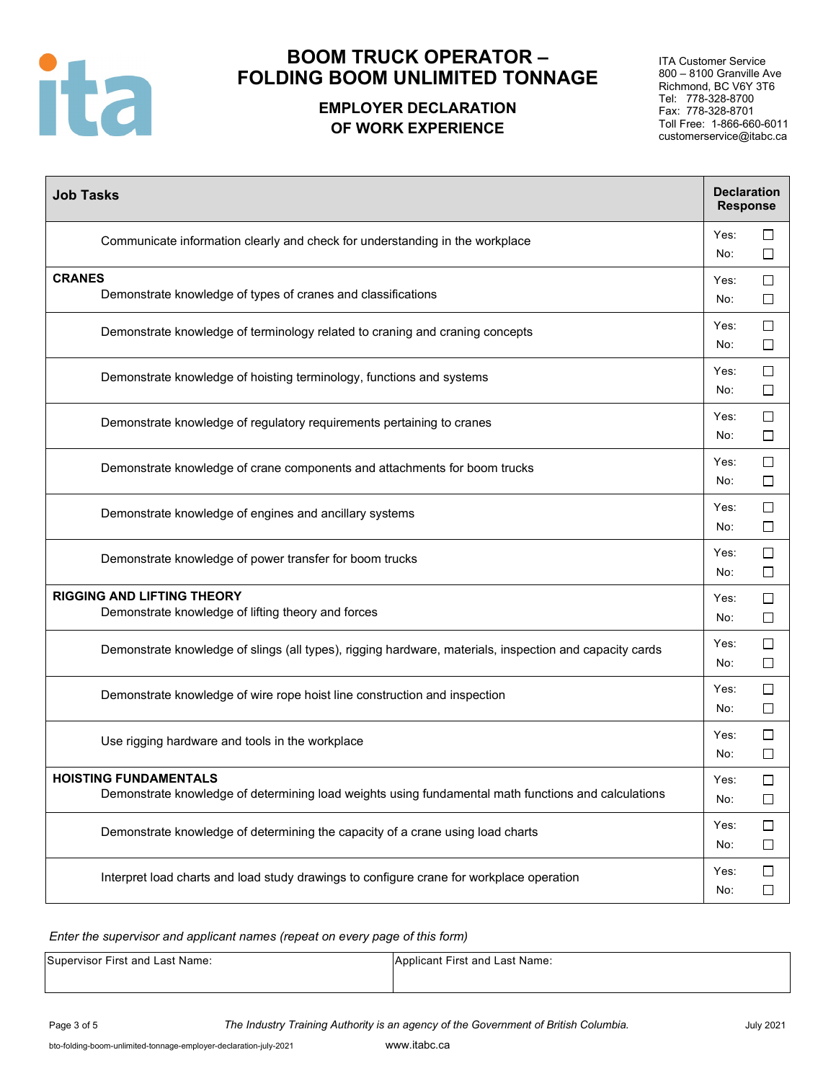

### **EMPLOYER DECLARATION OF WORK EXPERIENCE**

ITA Customer Service 800 – 8100 Granville Ave Richmond, BC V6Y 3T6 Tel: 778-328-8700 Fax: 778-328-8701 Toll Free: 1-866-660-6011 customerservice@itabc.ca

| <b>Job Tasks</b>                                                                                                                    | <b>Declaration</b><br><b>Response</b> |                  |
|-------------------------------------------------------------------------------------------------------------------------------------|---------------------------------------|------------------|
| Communicate information clearly and check for understanding in the workplace                                                        | Yes:<br>No:                           | □<br>□           |
| <b>CRANES</b><br>Demonstrate knowledge of types of cranes and classifications                                                       | Yes:<br>No:                           | □<br>$\Box$      |
| Demonstrate knowledge of terminology related to craning and craning concepts                                                        | Yes:<br>No:                           | $\Box$<br>$\Box$ |
| Demonstrate knowledge of hoisting terminology, functions and systems                                                                | Yes:<br>No:                           | $\Box$<br>□      |
| Demonstrate knowledge of regulatory requirements pertaining to cranes                                                               | Yes:<br>No:                           | □<br>$\Box$      |
| Demonstrate knowledge of crane components and attachments for boom trucks                                                           | Yes:<br>No:                           | $\Box$<br>$\Box$ |
| Demonstrate knowledge of engines and ancillary systems                                                                              | Yes:<br>No:                           | □<br>$\Box$      |
| Demonstrate knowledge of power transfer for boom trucks                                                                             | Yes:<br>No:                           | □<br>□           |
| <b>RIGGING AND LIFTING THEORY</b><br>Demonstrate knowledge of lifting theory and forces                                             | Yes:<br>No:                           | $\Box$<br>□      |
| Demonstrate knowledge of slings (all types), rigging hardware, materials, inspection and capacity cards                             | Yes:<br>No:                           | □<br>□           |
| Demonstrate knowledge of wire rope hoist line construction and inspection                                                           | Yes:<br>No:                           | □<br>□           |
| Use rigging hardware and tools in the workplace                                                                                     | Yes:<br>No:                           | □<br>$\Box$      |
| <b>HOISTING FUNDAMENTALS</b><br>Demonstrate knowledge of determining load weights using fundamental math functions and calculations | Yes:<br>No:                           | $\Box$<br>$\Box$ |
| Demonstrate knowledge of determining the capacity of a crane using load charts                                                      | Yes:<br>No:                           | $\Box$<br>$\Box$ |
| Interpret load charts and load study drawings to configure crane for workplace operation                                            | Yes:<br>No:                           | $\Box$<br>$\Box$ |

*Enter the supervisor and applicant names (repeat on every page of this form)*

Supervisor First and Last Name: Applicant First and Last Name: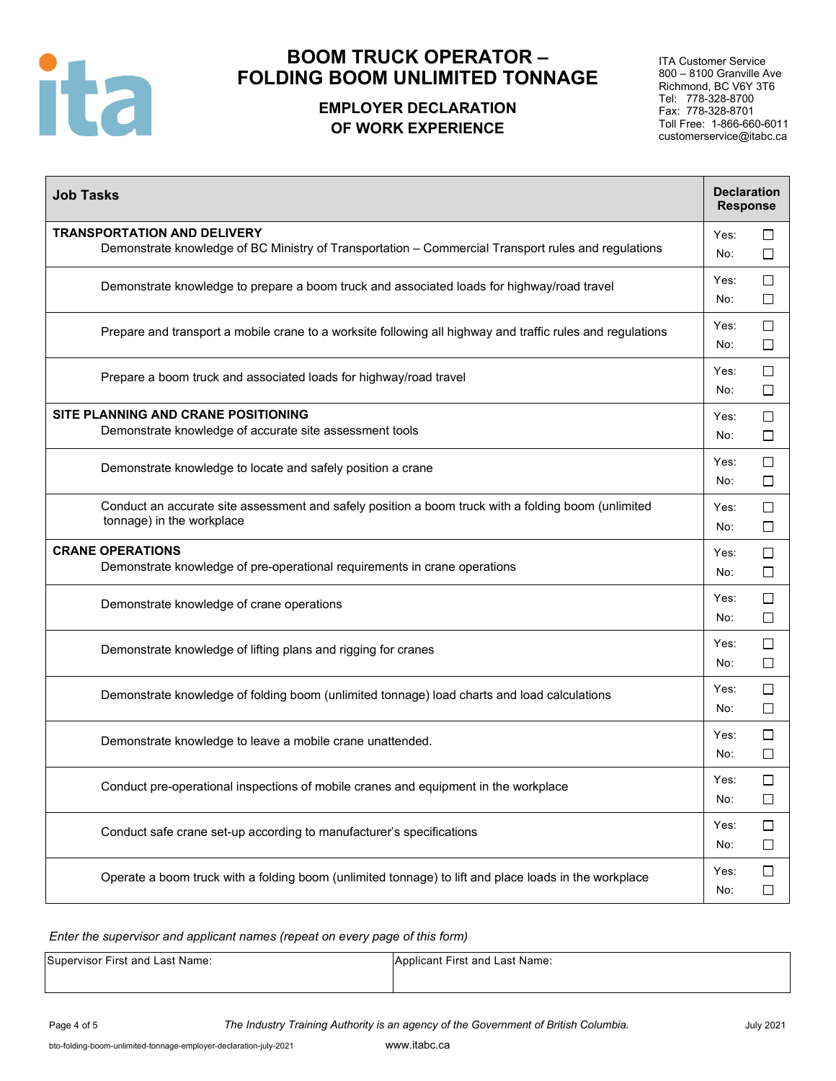

# **EMPLOYER DECLARATION OF WORK EXPERIENCE**

ITA Customer Service 800 – 8100 Granville Ave Richmond, BC V6Y 3T6 Tel: 778-328-8700 Fax: 778-328-8701 Toll Free: 1-866-660-6011 customerservice@itabc.ca

| <b>Job Tasks</b>                                                                                                                          | <b>Declaration</b><br><b>Response</b> |                  |
|-------------------------------------------------------------------------------------------------------------------------------------------|---------------------------------------|------------------|
| <b>TRANSPORTATION AND DELIVERY</b><br>Demonstrate knowledge of BC Ministry of Transportation - Commercial Transport rules and regulations | Yes:<br>No:                           | □<br>□           |
| Demonstrate knowledge to prepare a boom truck and associated loads for highway/road travel                                                | Yes:<br>No:                           | $\Box$<br>□      |
| Prepare and transport a mobile crane to a worksite following all highway and traffic rules and regulations                                | Yes:<br>No:                           | $\Box$<br>$\Box$ |
| Prepare a boom truck and associated loads for highway/road travel                                                                         | Yes:<br>No:                           | □<br>□           |
| SITE PLANNING AND CRANE POSITIONING<br>Demonstrate knowledge of accurate site assessment tools                                            | Yes:<br>No:                           | $\Box$<br>□      |
| Demonstrate knowledge to locate and safely position a crane                                                                               | Yes:<br>No:                           | $\Box$<br>$\Box$ |
| Conduct an accurate site assessment and safely position a boom truck with a folding boom (unlimited<br>tonnage) in the workplace          | Yes:<br>No:                           | $\Box$<br>$\Box$ |
| <b>CRANE OPERATIONS</b><br>Demonstrate knowledge of pre-operational requirements in crane operations                                      | Yes:<br>No:                           | $\Box$<br>□      |
| Demonstrate knowledge of crane operations                                                                                                 | Yes:<br>No:                           | $\Box$<br>$\Box$ |
| Demonstrate knowledge of lifting plans and rigging for cranes                                                                             | Yes:<br>No:                           | $\Box$<br>$\Box$ |
| Demonstrate knowledge of folding boom (unlimited tonnage) load charts and load calculations                                               | Yes:<br>No:                           | $\Box$<br>$\Box$ |
| Demonstrate knowledge to leave a mobile crane unattended.                                                                                 | Yes:<br>No:                           | $\Box$<br>$\Box$ |
| Conduct pre-operational inspections of mobile cranes and equipment in the workplace                                                       | Yes:<br>No:                           | П<br>$\Box$      |
| Conduct safe crane set-up according to manufacturer's specifications                                                                      | Yes:<br>No:                           | $\Box$<br>□      |
| Operate a boom truck with a folding boom (unlimited tonnage) to lift and place loads in the workplace                                     | Yes:<br>No:                           | $\Box$<br>□      |

*Enter the supervisor and applicant names (repeat on every page of this form)*

Supervisor First and Last Name: Applicant First and Last Name: